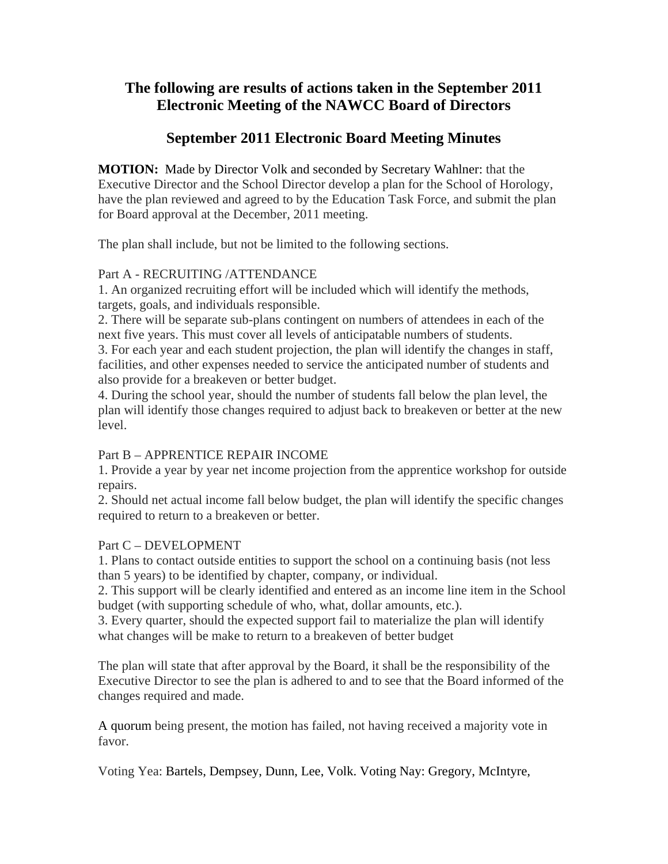# **The following are results of actions taken in the September 2011 Electronic Meeting of the NAWCC Board of Directors**

# **September 2011 Electronic Board Meeting Minutes**

**MOTION:** Made by Director Volk and seconded by Secretary Wahlner: that the Executive Director and the School Director develop a plan for the School of Horology, have the plan reviewed and agreed to by the Education Task Force, and submit the plan for Board approval at the December, 2011 meeting.

The plan shall include, but not be limited to the following sections.

#### Part A - RECRUITING /ATTENDANCE

1. An organized recruiting effort will be included which will identify the methods, targets, goals, and individuals responsible.

2. There will be separate sub-plans contingent on numbers of attendees in each of the next five years. This must cover all levels of anticipatable numbers of students.

3. For each year and each student projection, the plan will identify the changes in staff, facilities, and other expenses needed to service the anticipated number of students and also provide for a breakeven or better budget.

4. During the school year, should the number of students fall below the plan level, the plan will identify those changes required to adjust back to breakeven or better at the new level.

## Part B – APPRENTICE REPAIR INCOME

1. Provide a year by year net income projection from the apprentice workshop for outside repairs.

2. Should net actual income fall below budget, the plan will identify the specific changes required to return to a breakeven or better.

## Part C – DEVELOPMENT

1. Plans to contact outside entities to support the school on a continuing basis (not less than 5 years) to be identified by chapter, company, or individual.

2. This support will be clearly identified and entered as an income line item in the School budget (with supporting schedule of who, what, dollar amounts, etc.).

3. Every quarter, should the expected support fail to materialize the plan will identify what changes will be make to return to a breakeven of better budget

The plan will state that after approval by the Board, it shall be the responsibility of the Executive Director to see the plan is adhered to and to see that the Board informed of the changes required and made.

A quorum being present, the motion has failed, not having received a majority vote in favor.

Voting Yea: Bartels, Dempsey, Dunn, Lee, Volk. Voting Nay: Gregory, McIntyre,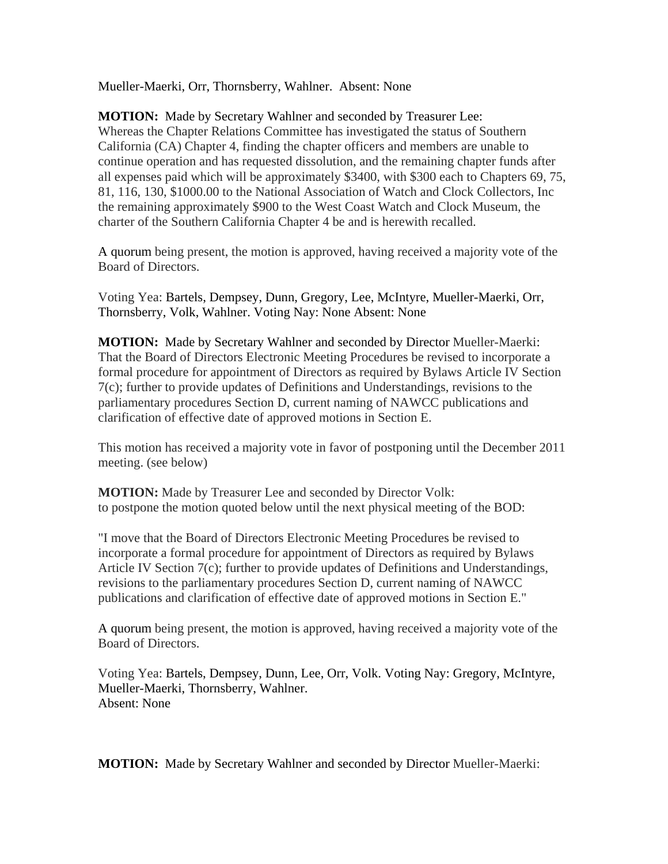Mueller-Maerki, Orr, Thornsberry, Wahlner. Absent: None

**MOTION:** Made by Secretary Wahlner and seconded by Treasurer Lee: Whereas the Chapter Relations Committee has investigated the status of Southern California (CA) Chapter 4, finding the chapter officers and members are unable to continue operation and has requested dissolution, and the remaining chapter funds after all expenses paid which will be approximately \$3400, with \$300 each to Chapters 69, 75, 81, 116, 130, \$1000.00 to the National Association of Watch and Clock Collectors, Inc the remaining approximately \$900 to the West Coast Watch and Clock Museum, the charter of the Southern California Chapter 4 be and is herewith recalled.

A quorum being present, the motion is approved, having received a majority vote of the Board of Directors.

Voting Yea: Bartels, Dempsey, Dunn, Gregory, Lee, McIntyre, Mueller-Maerki, Orr, Thornsberry, Volk, Wahlner. Voting Nay: None Absent: None

**MOTION:** Made by Secretary Wahlner and seconded by Director Mueller-Maerki: That the Board of Directors Electronic Meeting Procedures be revised to incorporate a formal procedure for appointment of Directors as required by Bylaws Article IV Section 7(c); further to provide updates of Definitions and Understandings, revisions to the parliamentary procedures Section D, current naming of NAWCC publications and clarification of effective date of approved motions in Section E.

This motion has received a majority vote in favor of postponing until the December 2011 meeting. (see below)

**MOTION:** Made by Treasurer Lee and seconded by Director Volk: to postpone the motion quoted below until the next physical meeting of the BOD:

"I move that the Board of Directors Electronic Meeting Procedures be revised to incorporate a formal procedure for appointment of Directors as required by Bylaws Article IV Section 7(c); further to provide updates of Definitions and Understandings, revisions to the parliamentary procedures Section D, current naming of NAWCC publications and clarification of effective date of approved motions in Section E."

A quorum being present, the motion is approved, having received a majority vote of the Board of Directors.

Voting Yea: Bartels, Dempsey, Dunn, Lee, Orr, Volk. Voting Nay: Gregory, McIntyre, Mueller-Maerki, Thornsberry, Wahlner. Absent: None

**MOTION:** Made by Secretary Wahlner and seconded by Director Mueller-Maerki: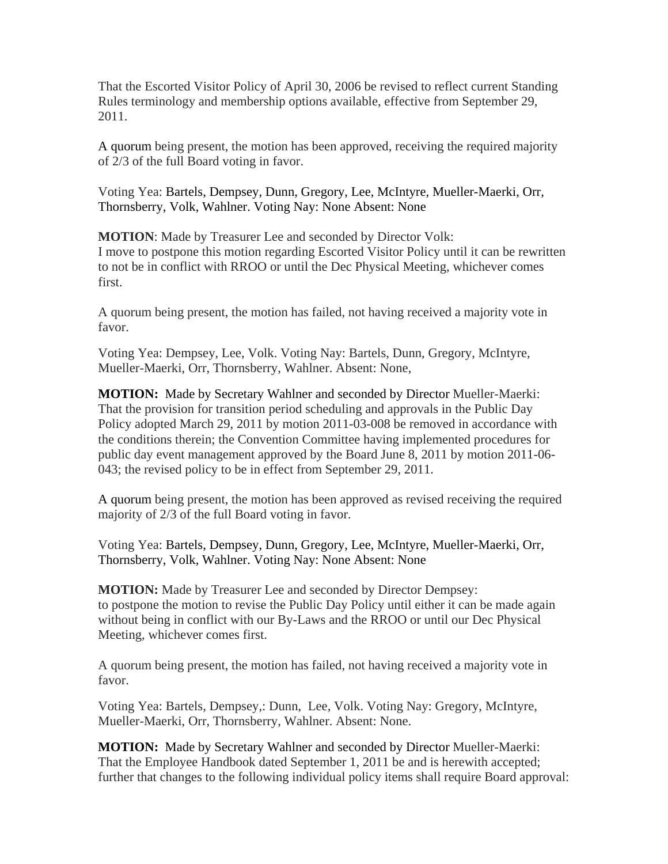That the Escorted Visitor Policy of April 30, 2006 be revised to reflect current Standing Rules terminology and membership options available, effective from September 29, 2011.

A quorum being present, the motion has been approved, receiving the required majority of 2/3 of the full Board voting in favor.

Voting Yea: Bartels, Dempsey, Dunn, Gregory, Lee, McIntyre, Mueller-Maerki, Orr, Thornsberry, Volk, Wahlner. Voting Nay: None Absent: None

**MOTION**: Made by Treasurer Lee and seconded by Director Volk: I move to postpone this motion regarding Escorted Visitor Policy until it can be rewritten to not be in conflict with RROO or until the Dec Physical Meeting, whichever comes first.

A quorum being present, the motion has failed, not having received a majority vote in favor.

Voting Yea: Dempsey, Lee, Volk. Voting Nay: Bartels, Dunn, Gregory, McIntyre, Mueller-Maerki, Orr, Thornsberry, Wahlner. Absent: None,

**MOTION:** Made by Secretary Wahlner and seconded by Director Mueller-Maerki: That the provision for transition period scheduling and approvals in the Public Day Policy adopted March 29, 2011 by motion 2011-03-008 be removed in accordance with the conditions therein; the Convention Committee having implemented procedures for public day event management approved by the Board June 8, 2011 by motion 2011-06- 043; the revised policy to be in effect from September 29, 2011.

A quorum being present, the motion has been approved as revised receiving the required majority of 2/3 of the full Board voting in favor.

Voting Yea: Bartels, Dempsey, Dunn, Gregory, Lee, McIntyre, Mueller-Maerki, Orr, Thornsberry, Volk, Wahlner. Voting Nay: None Absent: None

**MOTION:** Made by Treasurer Lee and seconded by Director Dempsey: to postpone the motion to revise the Public Day Policy until either it can be made again without being in conflict with our By-Laws and the RROO or until our Dec Physical Meeting, whichever comes first.

A quorum being present, the motion has failed, not having received a majority vote in favor.

Voting Yea: Bartels, Dempsey,: Dunn, Lee, Volk. Voting Nay: Gregory, McIntyre, Mueller-Maerki, Orr, Thornsberry, Wahlner. Absent: None.

**MOTION:** Made by Secretary Wahlner and seconded by Director Mueller-Maerki: That the Employee Handbook dated September 1, 2011 be and is herewith accepted; further that changes to the following individual policy items shall require Board approval: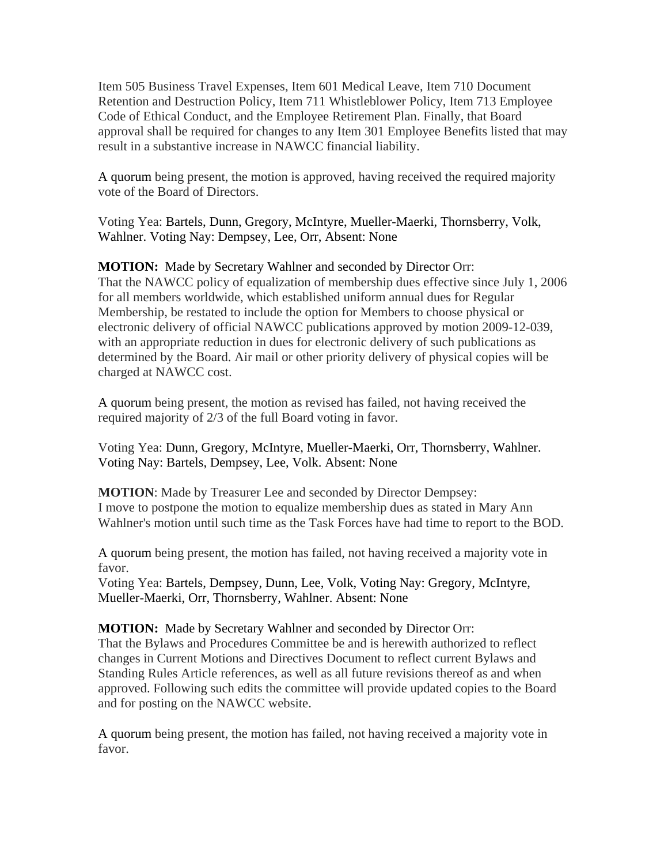Item 505 Business Travel Expenses, Item 601 Medical Leave, Item 710 Document Retention and Destruction Policy, Item 711 Whistleblower Policy, Item 713 Employee Code of Ethical Conduct, and the Employee Retirement Plan. Finally, that Board approval shall be required for changes to any Item 301 Employee Benefits listed that may result in a substantive increase in NAWCC financial liability.

A quorum being present, the motion is approved, having received the required majority vote of the Board of Directors.

Voting Yea: Bartels, Dunn, Gregory, McIntyre, Mueller-Maerki, Thornsberry, Volk, Wahlner. Voting Nay: Dempsey, Lee, Orr, Absent: None

**MOTION:** Made by Secretary Wahlner and seconded by Director Orr: That the NAWCC policy of equalization of membership dues effective since July 1, 2006 for all members worldwide, which established uniform annual dues for Regular Membership, be restated to include the option for Members to choose physical or electronic delivery of official NAWCC publications approved by motion 2009-12-039, with an appropriate reduction in dues for electronic delivery of such publications as determined by the Board. Air mail or other priority delivery of physical copies will be charged at NAWCC cost.

A quorum being present, the motion as revised has failed, not having received the required majority of 2/3 of the full Board voting in favor.

Voting Yea: Dunn, Gregory, McIntyre, Mueller-Maerki, Orr, Thornsberry, Wahlner. Voting Nay: Bartels, Dempsey, Lee, Volk. Absent: None

**MOTION**: Made by Treasurer Lee and seconded by Director Dempsey: I move to postpone the motion to equalize membership dues as stated in Mary Ann Wahlner's motion until such time as the Task Forces have had time to report to the BOD.

A quorum being present, the motion has failed, not having received a majority vote in favor.

Voting Yea: Bartels, Dempsey, Dunn, Lee, Volk, Voting Nay: Gregory, McIntyre, Mueller-Maerki, Orr, Thornsberry, Wahlner. Absent: None

**MOTION:** Made by Secretary Wahlner and seconded by Director Orr: That the Bylaws and Procedures Committee be and is herewith authorized to reflect changes in Current Motions and Directives Document to reflect current Bylaws and Standing Rules Article references, as well as all future revisions thereof as and when approved. Following such edits the committee will provide updated copies to the Board and for posting on the NAWCC website.

A quorum being present, the motion has failed, not having received a majority vote in favor.